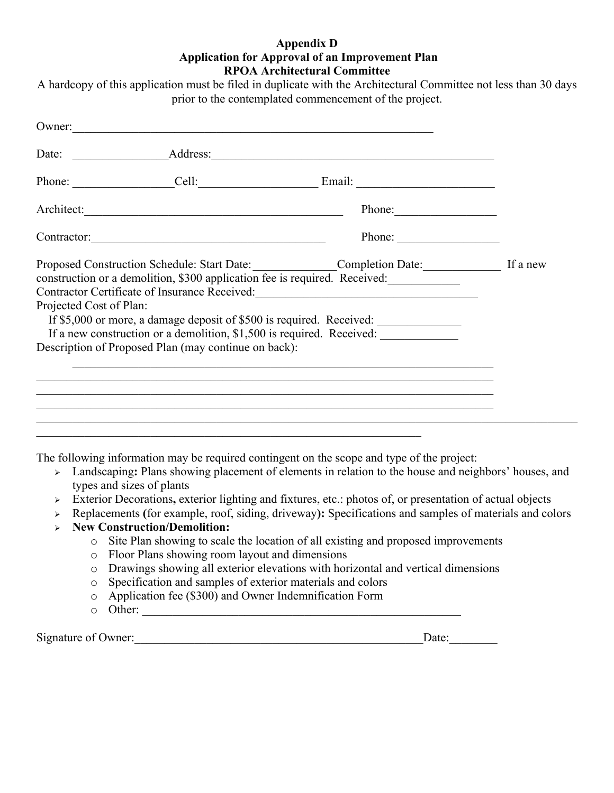## **Appendix D Application for Approval of an Improvement Plan RPOA Architectural Committee**

A hardcopy of this application must be filed in duplicate with the Architectural Committee not less than 30 days prior to the contemplated commencement of the project.

|                         | Owner:                                               |                                                                                                                                                                                                                                                                                                                                                                                                                                                                                                                                                                                                                                                                                                    |  |
|-------------------------|------------------------------------------------------|----------------------------------------------------------------------------------------------------------------------------------------------------------------------------------------------------------------------------------------------------------------------------------------------------------------------------------------------------------------------------------------------------------------------------------------------------------------------------------------------------------------------------------------------------------------------------------------------------------------------------------------------------------------------------------------------------|--|
|                         |                                                      |                                                                                                                                                                                                                                                                                                                                                                                                                                                                                                                                                                                                                                                                                                    |  |
|                         |                                                      |                                                                                                                                                                                                                                                                                                                                                                                                                                                                                                                                                                                                                                                                                                    |  |
|                         |                                                      |                                                                                                                                                                                                                                                                                                                                                                                                                                                                                                                                                                                                                                                                                                    |  |
|                         |                                                      | Phone:                                                                                                                                                                                                                                                                                                                                                                                                                                                                                                                                                                                                                                                                                             |  |
| Projected Cost of Plan: | Description of Proposed Plan (may continue on back): | Proposed Construction Schedule: Start Date: ______________Completion Date: ________________ If a new<br>construction or a demolition, \$300 application fee is required. Received:<br>Contractor Certificate of Insurance Received: __________________________________<br>If \$5,000 or more, a damage deposit of \$500 is required. Received:<br>If a new construction or a demolition, \$1,500 is required. Received:<br><u> 1989 - Johann Stoff, amerikansk politiker (d. 1989)</u><br>,我们也不能在这里的人,我们也不能在这里的人,我们也不能在这里的人,我们也不能在这里的人,我们也不能在这里的人,我们也不能在这里的人,我们也不能在这里的人,我们<br><u> 1989 - Johann Johann Johann Johann Johann Johann Johann Johann Johann Johann Johann Johann Johann Johann Joh</u> |  |
| $\blacktriangleright$   | types and sizes of plants                            | The following information may be required contingent on the scope and type of the project:<br>Landscaping: Plans showing placement of elements in relation to the house and neighbors' houses, and                                                                                                                                                                                                                                                                                                                                                                                                                                                                                                 |  |

- <sup>Ø</sup> Exterior Decorations**,** exterior lighting and fixtures, etc.: photos of, or presentation of actual objects
- <sup>Ø</sup> Replacements **(**for example, roof, siding, driveway**):** Specifications and samples of materials and colors
- <sup>Ø</sup> **New Construction/Demolition:**
	- o Site Plan showing to scale the location of all existing and proposed improvements
	- o Floor Plans showing room layout and dimensions
	- o Drawings showing all exterior elevations with horizontal and vertical dimensions
	- o Specification and samples of exterior materials and colors
	- o Application fee (\$300) and Owner Indemnification Form
	- o Other: \_\_\_\_\_\_\_\_\_\_\_\_\_\_\_\_\_\_\_\_\_\_\_\_\_\_\_\_\_\_\_\_\_\_\_\_\_\_\_\_\_\_\_\_\_\_\_\_\_\_\_\_\_

Signature of Owner:\_\_\_\_\_\_\_\_\_\_\_\_\_\_\_\_\_\_\_\_\_\_\_\_\_\_\_\_\_\_\_\_\_\_\_\_\_\_\_\_\_\_\_\_\_\_\_\_Date:\_\_\_\_\_\_\_\_